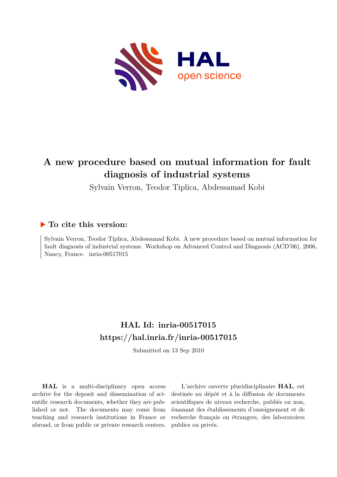

# **A new procedure based on mutual information for fault diagnosis of industrial systems**

Sylvain Verron, Teodor Tiplica, Abdessamad Kobi

# **To cite this version:**

Sylvain Verron, Teodor Tiplica, Abdessamad Kobi. A new procedure based on mutual information for fault diagnosis of industrial systems. Workshop on Advanced Control and Diagnosis (ACD'06), 2006, Nancy, France. inria-00517015

# **HAL Id: inria-00517015 <https://hal.inria.fr/inria-00517015>**

Submitted on 13 Sep 2010

**HAL** is a multi-disciplinary open access archive for the deposit and dissemination of scientific research documents, whether they are published or not. The documents may come from teaching and research institutions in France or abroad, or from public or private research centers.

L'archive ouverte pluridisciplinaire **HAL**, est destinée au dépôt et à la diffusion de documents scientifiques de niveau recherche, publiés ou non, émanant des établissements d'enseignement et de recherche français ou étrangers, des laboratoires publics ou privés.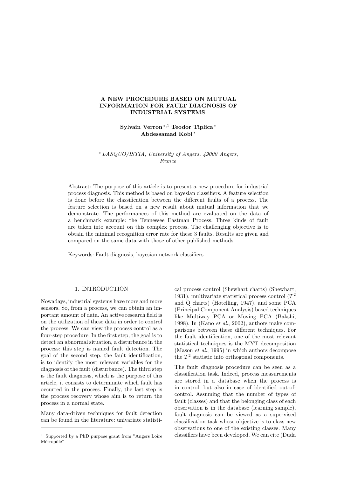## A NEW PROCEDURE BASED ON MUTUAL INFORMATION FOR FAULT DIAGNOSIS OF INDUSTRIAL SYSTEMS

Sylvain Verron <sup>∗</sup>,<sup>1</sup> Teodor Tiplica <sup>∗</sup> Abdessamad Kobi <sup>∗</sup>

<sup>∗</sup> LASQUO/ISTIA, University of Angers, 49000 Angers, France

Abstract: The purpose of this article is to present a new procedure for industrial process diagnosis. This method is based on bayesian classifiers. A feature selection is done before the classification between the different faults of a process. The feature selection is based on a new result about mutual information that we demonstrate. The performances of this method are evaluated on the data of a benchmark example: the Tennessee Eastman Process. Three kinds of fault are taken into account on this complex process. The challenging objective is to obtain the minimal recognition error rate for these 3 faults. Results are given and compared on the same data with those of other published methods.

Keywords: Fault diagnosis, bayesian network classifiers

#### 1. INTRODUCTION

Nowadays, industrial systems have more and more sensors. So, from a process, we can obtain an important amount of data. An active research field is on the utilization of these data in order to control the process. We can view the process control as a four-step procedure. In the first step, the goal is to detect an abnormal situation, a disturbance in the process: this step is named fault detection. The goal of the second step, the fault identification, is to identify the most relevant variables for the diagnosis of the fault (disturbance). The third step is the fault diagnosis, which is the purpose of this article, it consists to determinate which fault has occurred in the process. Finally, the last step is the process recovery whose aim is to return the process in a normal state.

Many data-driven techniques for fault detection can be found in the literature: univariate statistical process control (Shewhart charts) (Shewhart, 1931), multivariate statistical process control  $(T^2)$ and Q charts) (Hotelling, 1947), and some PCA (Principal Component Analysis) based techniques like Multiway PCA or Moving PCA (Bakshi, 1998). In (Kano  $et$  al., 2002), authors make comparisons between these different techniques. For the fault identification, one of the most relevant statistical techniques is the MYT decomposition (Mason et al., 1995) in which authors decompose the  $T^2$  statistic into orthogonal components.

The fault diagnosis procedure can be seen as a classification task. Indeed, process measurements are stored in a database when the process is in control, but also in case of identified out-ofcontrol. Assuming that the number of types of fault (classes) and that the belonging class of each observation is in the database (learning sample), fault diagnosis can be viewed as a supervised classification task whose objective is to class new observations to one of the existing classes. Many classifiers have been developed. We can cite (Duda

<sup>1</sup> Supported by a PhD purpose grant from "Angers Loire Métropôle"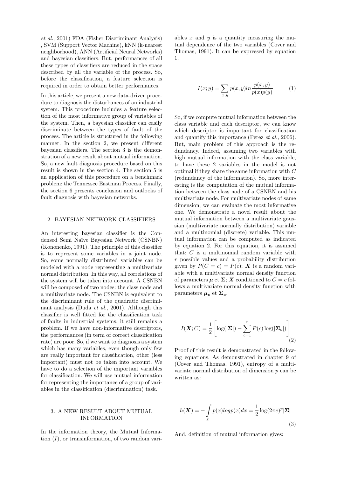et al., 2001) FDA (Fisher Discriminant Analysis) , SVM (Support Vector Machine), kNN (k-nearest neighborhood), ANN (Artificial Neural Networks) and bayesian classifiers. But, performances of all these types of classifiers are reduced in the space described by all the variable of the process. So, before the classification, a feature selection is required in order to obtain better performances.

In this article, we present a new data-driven procedure to diagnosis the disturbances of an industrial system. This procedure includes a feature selection of the most informative group of variables of the system. Then, a bayesian classifier can easily discriminate between the types of fault of the process. The article is structured in the following manner. In the section 2, we present different bayesian classifiers. The section 3 is the demonstration of a new result about mutual information. So, a new fault diagnosis procedure based on this result is shown in the section 4. The section 5 is an application of this procedure on a benchmark problem: the Tennessee Eastman Process. Finally, the section 6 presents conclusion and outlooks of fault diagnosis with bayesian networks.

#### 2. BAYESIAN NETWORK CLASSIFIERS

An interesting bayesian classifier is the Condensed Semi Naïve Bayesian Network (CSNBN) (Kononenko, 1991). The principle of this classifier is to represent some variables in a joint node. So, some normally distributed variables can be modeled with a node representing a multivariate normal distribution. In this way, all correlations of the system will be taken into account. A CSNBN will be composed of two nodes: the class node and a multivariate node. The CSNBN is equivalent to the discriminant rule of the quadratic discriminant analysis (Duda et al., 2001). Although this classifier is well fitted for the classification task of faults in industrial systems, it still remains a problem. If we have non-informative descriptors, the performances (in term of correct classification rate) are poor. So, if we want to diagnosis a system which has many variables, even though only few are really important for classification, other (less important) must not be taken into account. We have to do a selection of the important variables for classification. We will use mutual information for representing the importance of a group of variables in the classification (discrimination) task.

#### 3. A NEW RESULT ABOUT MUTUAL INFORMATION

In the information theory, the Mutual Information  $(I)$ , or transinformation, of two random variables  $x$  and  $y$  is a quantity measuring the mutual dependence of the two variables (Cover and Thomas, 1991). It can be expressed by equation 1.

$$
I(x; y) = \sum_{x,y} p(x,y) \ln \frac{p(x,y)}{p(x)p(y)} \tag{1}
$$

So, if we compute mutual information between the class variable and each descriptor, we can know which descriptor is important for classification and quantify this importance (Perez et al., 2006). But, main problem of this approach is the redundancy. Indeed, assuming two variables with high mutual information with the class variable, to have these 2 variables in the model is not optimal if they share the same information with C (redundancy of the information). So, more interesting is the computation of the mutual information between the class node of a CSNBN and his multivariate node. For multivariate nodes of same dimension, we can evaluate the most informative one. We demonstrate a novel result about the mutual information between a multivariate gaussian (multivariate normally distribution) variable and a multinomial (discrete) variable. This mutual information can be computed as indicated by equation 2. For this equation, it is assumed that: C is a multinomial random variable with r possible values and a probability distribution given by  $P(C = c) = P(c)$ ; **X** is a random variable with a multivariate normal density function of parameters  $\mu$  et  $\Sigma$ ; X conditioned to  $C = c$  follows a multivariate normal density function with parameters  $\mu_c$  et  $\Sigma_c$ .

$$
I(\mathbf{X}; C) = \frac{1}{2} \left[ \log(|\mathbf{\Sigma}|) - \sum_{c=1}^{r} P(c) \log(|\mathbf{\Sigma}_{c}|) \right]
$$
(2)

Proof of this result is demonstrated in the following equations. As demonstrated in chapter 9 of (Cover and Thomas, 1991), entropy of a multivariate normal distribution of dimension p can be written as:

$$
h(\boldsymbol{X}) = -\int_{x} p(x)log p(x)dx = \frac{1}{2}\log(2\pi e)^{p} |\boldsymbol{\Sigma}|
$$
\n(3)

And, definition of mutual information gives: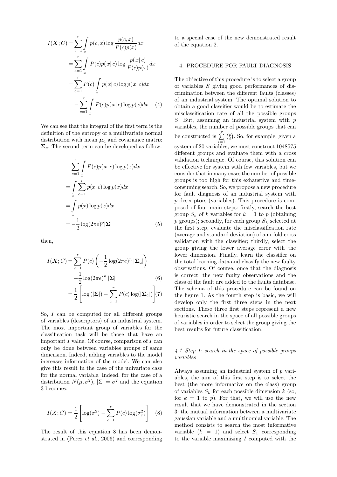$$
I(\boldsymbol{X};C) = \sum_{c=1}^{r} \int_{x} p(c,x) \log \frac{p(c,x)}{P(c)p(x)} dx
$$
  
= 
$$
\sum_{c=1}^{r} \int_{x} P(c)p(x|c) \log \frac{p(x|c)}{P(c)p(x)} dx
$$
  
= 
$$
\sum_{c=1}^{r} P(c) \int_{x} p(x|c) \log p(x|c) dx
$$
  
- 
$$
\sum_{c=1}^{r} \int_{x} P(c)p(x|c) \log p(x) dx
$$
 (4)

We can see that the integral of the first term is the definition of the entropy of a multivariate normal distribution with mean  $\mu_c$  and covariance matrix  $\Sigma_c$ . The second term can be developed as follow:

$$
\sum_{c=1}^{r} \int_{x} P(c)p(x|c) \log p(x) dx
$$
  
= 
$$
\int_{x} \sum_{c=1}^{r} p(x, c) \log p(x) dx
$$
  
= 
$$
\int_{x} p(x) \log p(x) dx
$$
  
= 
$$
-\frac{1}{2} \log(2\pi e)^{p} |\Sigma|
$$
(5)

then,

$$
I(\boldsymbol{X}; C) = \sum_{c=1}^{r} P(c) \left( -\frac{1}{2} \log(2\pi e)^n |\boldsymbol{\Sigma}_c| \right)
$$
  
+ 
$$
\frac{1}{2} \log(2\pi e)^n |\boldsymbol{\Sigma}| \qquad (6)
$$
  
= 
$$
\frac{1}{2} \left[ \log \left( |\boldsymbol{\Sigma}| \right) - \sum_{c=1}^{r} P(c) \log(|\boldsymbol{\Sigma}_c|) \right] (7)
$$

So, I can be computed for all different groups of variables (descriptors) of an industrial system. The most important group of variables for the classification task will be those that have an important I value. Of course, comparison of I can only be done between variables groups of same dimension. Indeed, adding variables to the model increases information of the model. We can also give this result in the case of the univariate case for the normal variable. Indeed, for the case of a distribution  $N(\mu, \sigma^2)$ ,  $|\Sigma| = \sigma^2$  and the equation 3 becomes:

$$
I(X;C) = \frac{1}{2} \left[ \log(\sigma^2) - \sum_{c=1}^{r} P(c) \log(\sigma_c^2) \right]
$$
 (8)

The result of this equation 8 has been demonstrated in (Perez et al., 2006) and corresponding to a special case of the new demonstrated result of the equation 2.

### 4. PROCEDURE FOR FAULT DIAGNOSIS

The objective of this procedure is to select a group of variables S giving good performances of discrimination between the different faults (classes) of an industrial system. The optimal solution to obtain a good classifier would be to estimate the misclassification rate of all the possible groups S. But, assuming an industrial system with  $p$ variables, the number of possible groups that can be constructed is  $\sum_{i=1}^{p}$  $\binom{p}{i}$ . So, for example, given a system of 20 variables, we must construct 1048575 different groups and evaluate them with a cross validation technique. Of course, this solution can be effective for system with few variables, but we consider that in many cases the number of possible groups is too high for this exhaustive and timeconsuming search. So, we propose a new procedure for fault diagnosis of an industrial system with p descriptors (variables). This procedure is composed of four main steps: firstly, search the best group  $S_k$  of k variables for  $k = 1$  to p (obtaining  $p$  groups); secondly, for each group  $S_k$  selected at the first step, evaluate the misclassification rate (average and standard deviation) of a m-fold cross validation with the classifier; thirdly, select the group giving the lower average error with the lower dimension. Finally, learn the classifier on the total learning data and classify the new faulty observations. Of course, once that the diagnosis is correct, the new faulty observations and the class of the fault are added to the faults database. The schema of this procedure can be found on the figure 1. As the fourth step is basic, we will develop only the first three steps in the next sections. These three first steps represent a new heuristic search in the space of all possible groups of variables in order to select the group giving the best results for future classification.

#### 4.1 Step 1: search in the space of possible groups variables

Always assuming an industrial system of p variables, the aim of this first step is to select the best (the more informative on the class) group of variables  $S_k$  for each possible dimension k (so, for  $k = 1$  to p). For that, we will use the new result that we have demonstrated in the section 3: the mutual information between a multivariate gaussian variable and a multinomial variable. The method consists to search the most informative variable  $(k = 1)$  and select  $S_1$  corresponding to the variable maximizing  $I$  computed with the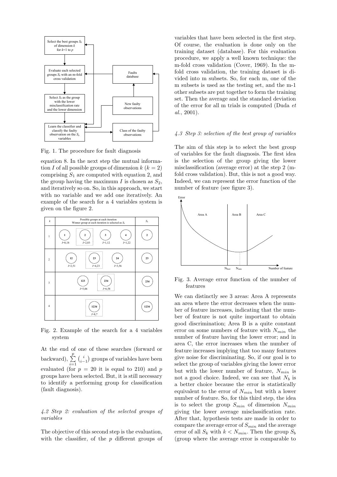

Fig. 1. The procedure for fault diagnosis

equation 8. In the next step the mutual information I of all possible groups of dimension  $k (k = 2)$ comprising  $S_1$  are computed with equation 2, and the group having the maximum I is chosen as  $S_2$ , and iteratively so on. So, in this approach, we start with no variable and we add one iteratively. An example of the search for a 4 variables system is given on the figure 2.



Fig. 2. Example of the search for a 4 variables system

At the end of one of these searches (forward or backward),  $\sum_{i=1}^{p}$  $i \choose i-1$  groups of variables have been evaluated (for  $p = 20$  it is equal to 210) and p groups have been selected. But, it is still necessary to identify a performing group for classification (fault diagnosis).

#### 4.2 Step 2: evaluation of the selected groups of variables

The objective of this second step is the evaluation, with the classifier, of the  $p$  different groups of

variables that have been selected in the first step. Of course, the evaluation is done only on the training dataset (database). For this evaluation procedure, we apply a well known technique: the m-fold cross validation (Cover, 1969). In the mfold cross validation, the training dataset is divided into m subsets. So, for each m, one of the m subsets is used as the testing set, and the m-1 other subsets are put together to form the training set. Then the average and the standard deviation of the error for all m trials is computed (Duda et  $al., 2001$ ).

#### 4.3 Step 3: selection of the best group of variables

The aim of this step is to select the best group of variables for the fault diagnosis. The first idea is the selection of the group giving the lower misclassification (average error) at the step 2 (mfold cross validation). But, this is not a good way. Indeed, we can represent the error function of the number of feature (see figure 3).



Fig. 3. Average error function of the number of features

We can distinctly see 3 areas: Area A represents an area where the error decreases when the number of feature increases, indicating that the number of feature is not quite important to obtain good discrimination; Area B is a quite constant error on some numbers of feature with  $N_{min}$  the number of feature having the lower error; and in area C, the error increases when the number of feature increases implying that too many features give noise for discriminating. So, if our goal is to select the group of variables giving the lower error but with the lower number of feature,  $N_{min}$  is not a good choice. Indeed, we can see that  $N_b$  is a better choice because the error is statistically equivalent to the error of  $N_{min}$  but with a lower number of feature. So, for this third step, the idea is to select the group  $S_{min}$  of dimension  $N_{min}$ giving the lower average misclassification rate. After that, hypothesis tests are made in order to compare the average error of  $S_{min}$  and the average error of all  $S_k$  with  $k < N_{min}$ . Then the group  $S_b$ (group where the average error is comparable to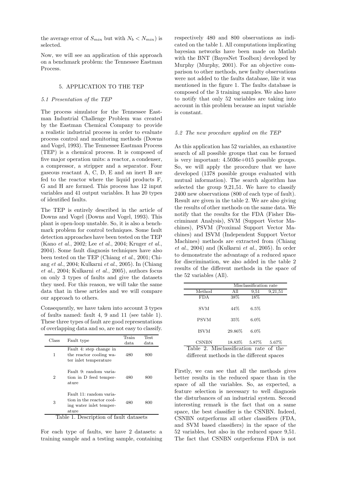the average error of  $S_{min}$  but with  $N_b < N_{min}$ ) is selected.

Now, we will see an application of this approach on a benchmark problem: the Tennessee Eastman Process.

#### 5. APPLICATION TO THE TEP

#### 5.1 Presentation of the TEP

The process simulator for the Tennessee Eastman Industrial Challenge Problem was created by the Eastman Chemical Company to provide a realistic industrial process in order to evaluate process control and monitoring methods (Downs and Vogel, 1993). The Tennessee Eastman Process (TEP) is a chemical process. It is composed of five major operation units: a reactor, a condenser, a compressor, a stripper and a separator. Four gaseous reactant A, C, D, E and an inert B are fed to the reactor where the liquid products F, G and H are formed. This process has 12 input variables and 41 output variables. It has 20 types of identified faults.

The TEP is entirely described in the article of Downs and Vogel (Downs and Vogel, 1993). This plant is open-loop unstable. So, it is also a benchmark problem for control techniques. Some fault detection approaches have been tested on the TEP (Kano et al., 2002; Lee et al., 2004; Kruger et al., 2004). Some fault diagnosis techniques have also been tested on the TEP (Chiang et al., 2001; Chiang et al., 2004; Kulkarni et al., 2005). In (Chiang et al., 2004; Kulkarni et al., 2005), authors focus on only 3 types of faults and give the datasets they used. For this reason, we will take the same data that in these articles and we will compare our approach to others.

Consequently, we have taken into account 3 types of faults named: fault 4, 9 and 11 (see table 1). These three types of fault are good representations of overlapping data and so, are not easy to classify.

| Class                                    | Fault type                                                                                        | Train         | Test |  |
|------------------------------------------|---------------------------------------------------------------------------------------------------|---------------|------|--|
|                                          |                                                                                                   | $_{\rm data}$ | data |  |
| 1                                        | Fault 4: step change in<br>the reactor cooling wa-<br>ter inlet temperature                       | 480           | 800  |  |
| 2                                        | Fault 9: random varia-<br>tion in D feed temper-<br>ature                                         | 480           | 800  |  |
| 3                                        | Fault 11: random varia-<br>tion in the reactor cool-<br>ing water inlet temper-<br>$_{\rm ature}$ | 480           | 800  |  |
| Description of fault datasets<br>Tahle 1 |                                                                                                   |               |      |  |

able 1. Description of fault datasets

For each type of faults, we have 2 datasets: a training sample and a testing sample, containing respectively 480 and 800 observations as indicated on the table 1. All computations implicating bayesian networks have been made on Matlab with the BNT (BayesNet Toolbox) developed by Murphy (Murphy, 2001). For an objective comparison to other methods, new faulty observations were not added to the faults database, like it was mentioned in the figure 1. The faults database is composed of the 3 training samples. We also have to notify that only 52 variables are taking into account in this problem because an input variable is constant.

#### 5.2 The new procedure applied on the TEP

As this application has 52 variables, an exhaustive search of all possible groups that can be formed is very important: 4.5036e+015 possible groups. So, we will apply the procedure that we have developed (1378 possible groups evaluated with mutual information). The search algorithm has selected the group 9,21,51. We have to classify 2400 new observations (800 of each type of fault). Result are given in the table 2. We are also giving the results of other methods on the same data. We notify that the results for the FDA (Fisher Discriminant Analysis), SVM (Support Vector Machines), PSVM (Proximal Support Vector Machines) and ISVM (Independent Support Vector Machines) methods are extracted from (Chiang et al., 2004) and (Kulkarni et al., 2005). In order to demonstrate the advantage of a reduced space for discrimination, we also added in the table 2 results of the different methods in the space of the 52 variables (All).

|                                        | Misclassification rate |         |         |  |  |
|----------------------------------------|------------------------|---------|---------|--|--|
| Method                                 | All                    | 9,51    | 9,21,51 |  |  |
| <b>FDA</b>                             | 38%                    | 18%     |         |  |  |
| <b>SVM</b>                             | 44\%                   | $6.5\%$ |         |  |  |
| <b>PSVM</b>                            | 35%                    | $6.0\%$ |         |  |  |
| <b>ISVM</b>                            | 29.86%                 | $6.0\%$ |         |  |  |
| <b>CSNBN</b>                           | 18.83\% 5.87\%         |         | 5.67%   |  |  |
| Table 2. Misclassification rate of the |                        |         |         |  |  |

different methods in the different spaces

Firstly, we can see that all the methods gives better results in the reduced space than in the space of all the variables. So, as expected, a feature selection is necessary to well diagnosis the disturbances of an industrial system. Second interesting remark is the fact that on a same space, the best classifier is the CSNBN. Indeed, CSNBN outperforms all other classifiers (FDA, and SVM based classifiers) in the space of the 52 variables, but also in the reduced space 9,51. The fact that CSNBN outperforms FDA is not